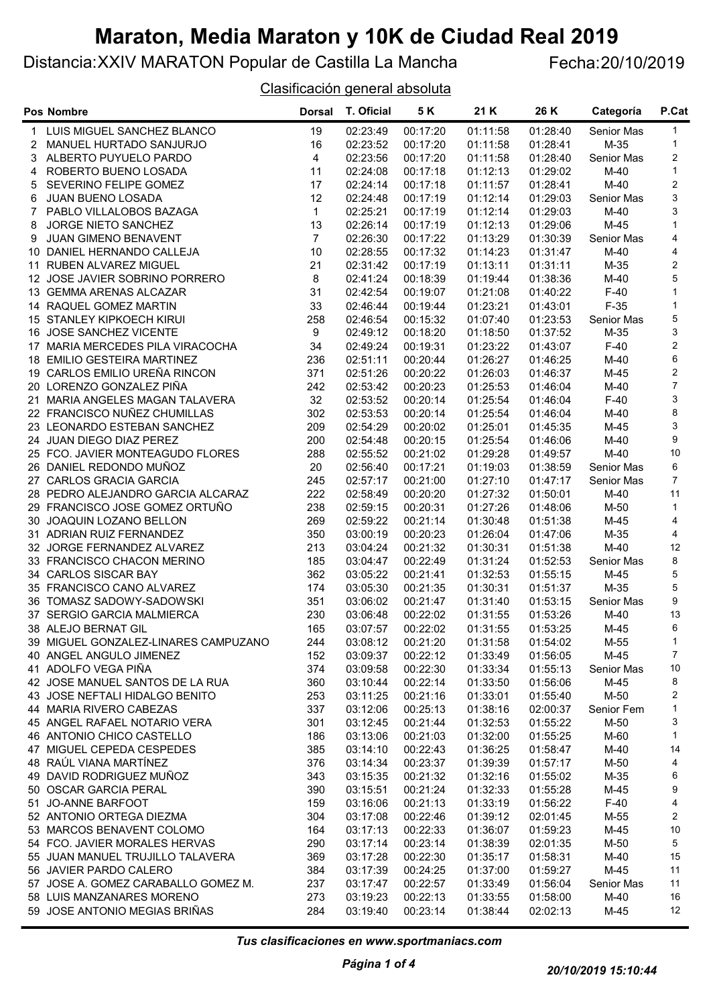Distancia:XXIV MARATON Popular de Castilla La Mancha Fecha:20/10/2019

Clasificación general absoluta

|             | Pos Nombre                                             | Dorsal         | T. Oficial           | 5 K                  | 21 K                 | 26 K                 | Categoría            | P.Cat                     |
|-------------|--------------------------------------------------------|----------------|----------------------|----------------------|----------------------|----------------------|----------------------|---------------------------|
| 1.          | LUIS MIGUEL SANCHEZ BLANCO                             | 19             | 02:23:49             | 00:17:20             | 01:11:58             | 01:28:40             | Senior Mas           | 1                         |
|             | 2 MANUEL HURTADO SANJURJO                              | 16             | 02:23:52             | 00:17:20             | 01:11:58             | 01:28:41             | $M-35$               | 1                         |
|             | 3 ALBERTO PUYUELO PARDO                                | $\overline{4}$ | 02:23:56             | 00:17:20             | 01:11:58             | 01:28:40             | Senior Mas           | 2                         |
| 4           | ROBERTO BUENO LOSADA                                   | 11             | 02:24:08             | 00:17:18             | 01:12:13             | 01:29:02             | $M-40$               | 1                         |
| 5           | SEVERINO FELIPE GOMEZ                                  | 17             | 02:24:14             | 00:17:18             | 01:11:57             | 01:28:41             | $M-40$               | 2                         |
| 6           | JUAN BUENO LOSADA                                      | 12             | 02:24:48             | 00:17:19             | 01:12:14             | 01:29:03             | <b>Senior Mas</b>    | 3                         |
| $7^{\circ}$ | PABLO VILLALOBOS BAZAGA                                | $\mathbf{1}$   | 02:25:21             | 00:17:19             | 01:12:14             | 01:29:03             | $M-40$               | 3                         |
| 8           | JORGE NIETO SANCHEZ                                    | 13             | 02:26:14             | 00:17:19             | 01:12:13             | 01:29:06             | M-45                 | $\mathbf{1}$              |
| 9           | JUAN GIMENO BENAVENT                                   | $\overline{7}$ | 02:26:30             | 00:17:22             | 01:13:29             | 01:30:39             | Senior Mas           | 4                         |
|             | 10 DANIEL HERNANDO CALLEJA                             | 10             | 02:28:55             | 00:17:32             | 01:14:23             | 01:31:47             | $M-40$               | 4                         |
|             | 11 RUBEN ALVAREZ MIGUEL                                | 21             | 02:31:42             | 00:17:19             | 01:13:11             | 01:31:11             | M-35                 | $\boldsymbol{2}$          |
|             | 12 JOSE JAVIER SOBRINO PORRERO                         | 8              | 02:41:24             | 00:18:39             | 01:19:44             | 01:38:36             | M-40                 | 5                         |
|             | 13 GEMMA ARENAS ALCAZAR                                | 31             | 02:42:54             | 00:19:07             | 01:21:08             | 01:40:22             | $F-40$               | $\mathbf{1}$              |
|             | 14 RAQUEL GOMEZ MARTIN                                 | 33             | 02:46:44             | 00:19:44             | 01:23:21             | 01:43:01             | $F-35$               | $\mathbf{1}$              |
|             | 15 STANLEY KIPKOECH KIRUI                              | 258            | 02:46:54             | 00:15:32             | 01:07:40             | 01:23:53             | Senior Mas           | 5                         |
|             | 16 JOSE SANCHEZ VICENTE                                | 9              | 02:49:12             | 00:18:20             | 01:18:50             | 01:37:52             | M-35                 | 3                         |
|             | 17 MARIA MERCEDES PILA VIRACOCHA                       | 34             | 02:49:24             | 00:19:31             | 01:23:22             | 01:43:07             | $F-40$               | $\overline{\mathbf{c}}$   |
|             | 18 EMILIO GESTEIRA MARTINEZ                            | 236            | 02:51:11             | 00:20:44             | 01:26:27             | 01:46:25             | M-40                 | $\,6\,$                   |
|             | 19 CARLOS EMILIO UREÑA RINCON                          | 371            | 02:51:26             | 00:20:22             | 01:26:03             | 01:46:37             | $M-45$               | $\boldsymbol{2}$          |
|             | 20 LORENZO GONZALEZ PIÑA                               | 242            | 02:53:42             | 00:20:23             | 01:25:53             | 01:46:04             | M-40                 | $\overline{7}$            |
|             | 21 MARIA ANGELES MAGAN TALAVERA                        | 32             | 02:53:52             | 00:20:14             | 01:25:54             | 01:46:04             | $F-40$               | $\ensuremath{\mathsf{3}}$ |
|             | 22 FRANCISCO NUÑEZ CHUMILLAS                           | 302            | 02:53:53             | 00:20:14             | 01:25:54             | 01:46:04             | M-40                 | 8                         |
|             | 23 LEONARDO ESTEBAN SANCHEZ                            | 209            | 02:54:29             | 00:20:02             | 01:25:01             | 01:45:35             | M-45                 | $\ensuremath{\mathsf{3}}$ |
|             | 24 JUAN DIEGO DIAZ PEREZ                               | 200            | 02:54:48             | 00:20:15             | 01:25:54             | 01:46:06             | $M-40$               | 9                         |
|             | 25 FCO. JAVIER MONTEAGUDO FLORES                       | 288            | 02:55:52             | 00:21:02             | 01:29:28             | 01:49:57             | $M-40$               | 10                        |
|             | 26 DANIEL REDONDO MUÑOZ                                | 20             | 02:56:40             | 00:17:21             | 01:19:03             | 01:38:59             | Senior Mas           | 6                         |
|             | 27 CARLOS GRACIA GARCIA                                | 245            | 02:57:17             | 00:21:00             | 01:27:10             | 01:47:17             | Senior Mas           | $\overline{7}$            |
|             | 28 PEDRO ALEJANDRO GARCIA ALCARAZ                      | 222            | 02:58:49             | 00:20:20             | 01:27:32             | 01:50:01             | M-40                 | 11                        |
|             | 29 FRANCISCO JOSE GOMEZ ORTUÑO                         | 238            | 02:59:15             | 00:20:31             | 01:27:26             | 01:48:06             | M-50                 | $\mathbf{1}$              |
|             | 30 JOAQUIN LOZANO BELLON                               | 269            | 02:59:22             | 00:21:14             | 01:30:48             | 01:51:38             | $M-45$               | 4                         |
|             | 31 ADRIAN RUIZ FERNANDEZ                               | 350            | 03:00:19             | 00:20:23             | 01:26:04             | 01:47:06             | $M-35$               | 4                         |
|             | 32 JORGE FERNANDEZ ALVAREZ                             | 213            | 03:04:24             | 00:21:32             | 01:30:31             | 01:51:38             | M-40                 | 12                        |
|             | 33 FRANCISCO CHACON MERINO<br>34 CARLOS SISCAR BAY     | 185            | 03:04:47             | 00:22:49             | 01:31:24             | 01:52:53             | Senior Mas           | 8<br>5                    |
|             |                                                        | 362            | 03:05:22             | 00:21:41             | 01:32:53             | 01:55:15             | M-45                 | 5                         |
|             | 35 FRANCISCO CANO ALVAREZ<br>36 TOMASZ SADOWY-SADOWSKI | 174<br>351     | 03:05:30<br>03:06:02 | 00:21:35             | 01:30:31<br>01:31:40 | 01:51:37<br>01:53:15 | $M-35$               | 9                         |
|             | 37 SERGIO GARCIA MALMIERCA                             | 230            | 03:06:48             | 00:21:47<br>00:22:02 | 01:31:55             | 01:53:26             | Senior Mas<br>$M-40$ | 13                        |
|             | 38 ALEJO BERNAT GIL                                    | 165            | 03:07:57             | 00:22:02             | 01:31:55             | 01:53:25             | $M-45$               | 6                         |
|             | 39 MIGUEL GONZALEZ-LINARES CAMPUZANO                   | 244            | 03:08:12             | 00:21:20             | 01:31:58             | 01:54:02             | M-55                 | $\mathbf{1}$              |
|             | 40 ANGEL ANGULO JIMENEZ                                | 152            | 03:09:37             | 00:22:12             | 01:33:49             | 01:56:05             | $M-45$               | 7                         |
|             | 41 ADOLFO VEGA PIÑA                                    | 374            | 03:09:58             | 00:22:30             | 01:33:34             | 01:55:13             | Senior Mas           | 10                        |
|             | 42 JOSE MANUEL SANTOS DE LA RUA                        | 360            | 03:10:44             | 00:22:14             | 01:33:50             | 01:56:06             | $M-45$               | 8                         |
|             | 43 JOSE NEFTALI HIDALGO BENITO                         | 253            | 03:11:25             | 00:21:16             | 01:33:01             | 01:55:40             | M-50                 | 2                         |
|             | 44 MARIA RIVERO CABEZAS                                | 337            | 03:12:06             | 00:25:13             | 01:38:16             | 02:00:37             | Senior Fem           | 1                         |
|             | 45 ANGEL RAFAEL NOTARIO VERA                           | 301            | 03:12:45             | 00:21:44             | 01:32:53             | 01:55:22             | M-50                 | 3                         |
|             | 46 ANTONIO CHICO CASTELLO                              | 186            | 03:13:06             | 00:21:03             | 01:32:00             | 01:55:25             | M-60                 | 1                         |
|             | 47 MIGUEL CEPEDA CESPEDES                              | 385            | 03:14:10             | 00:22:43             | 01:36:25             | 01:58:47             | M-40                 | 14                        |
|             | 48 RAÚL VIANA MARTÍNEZ                                 | 376            | 03:14:34             | 00:23:37             | 01:39:39             | 01:57:17             | M-50                 | 4                         |
|             | 49 DAVID RODRIGUEZ MUÑOZ                               | 343            | 03:15:35             | 00:21:32             | 01:32:16             | 01:55:02             | $M-35$               | 6                         |
|             | 50 OSCAR GARCIA PERAL                                  | 390            | 03:15:51             | 00:21:24             | 01:32:33             | 01:55:28             | M-45                 | 9                         |
|             | 51 JO-ANNE BARFOOT                                     | 159            | 03:16:06             | 00:21:13             | 01:33:19             | 01:56:22             | $F-40$               | 4                         |
|             | 52 ANTONIO ORTEGA DIEZMA                               | 304            | 03:17:08             | 00:22:46             | 01:39:12             | 02:01:45             | M-55                 | 2                         |
|             | 53 MARCOS BENAVENT COLOMO                              | 164            | 03:17:13             | 00:22:33             | 01:36:07             | 01:59:23             | $M-45$               | 10                        |
|             | 54 FCO. JAVIER MORALES HERVAS                          | 290            | 03:17:14             | 00:23:14             | 01:38:39             | 02:01:35             | M-50                 | $\overline{5}$            |
|             | 55 JUAN MANUEL TRUJILLO TALAVERA                       | 369            | 03:17:28             | 00:22:30             | 01:35:17             | 01:58:31             | $M-40$               | 15                        |
|             | 56 JAVIER PARDO CALERO                                 | 384            | 03:17:39             | 00:24:25             | 01:37:00             | 01:59:27             | M-45                 | 11                        |
|             | 57 JOSE A. GOMEZ CARABALLO GOMEZ M.                    | 237            | 03:17:47             | 00:22:57             | 01:33:49             | 01:56:04             | Senior Mas           | 11                        |
|             | 58 LUIS MANZANARES MORENO                              | 273            | 03:19:23             | 00:22:13             | 01:33:55             | 01:58:00             | $M-40$               | 16                        |
|             | 59 JOSE ANTONIO MEGIAS BRIÑAS                          | 284            | 03:19:40             | 00:23:14             | 01:38:44             | 02:02:13             | $M-45$               | 12                        |

Tus clasificaciones en www.sportmaniacs.com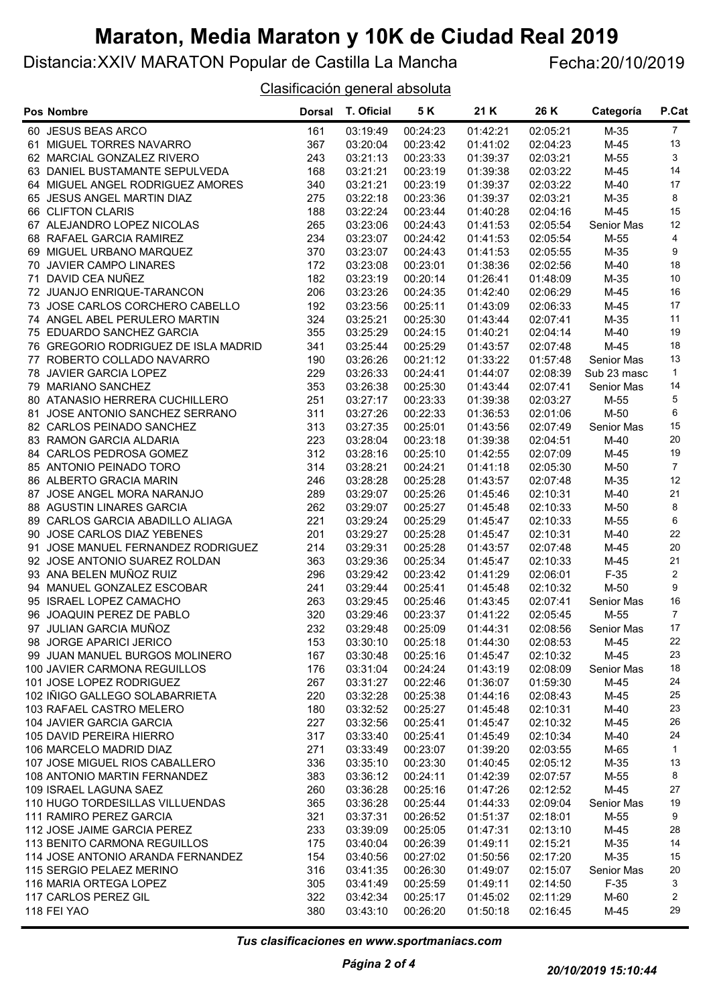Distancia:XXIV MARATON Popular de Castilla La Mancha Fecha:20/10/2019

Clasificación general absoluta

| <b>Pos Nombre</b>                    | <b>Dorsal</b> | <b>T. Oficial</b> | 5 K      | 21 K     | 26 K     | Categoría   | P.Cat            |
|--------------------------------------|---------------|-------------------|----------|----------|----------|-------------|------------------|
| 60 JESUS BEAS ARCO                   | 161           | 03:19:49          | 00:24:23 | 01:42:21 | 02:05:21 | M-35        | 7                |
| 61 MIGUEL TORRES NAVARRO             | 367           | 03:20:04          | 00:23:42 | 01:41:02 | 02:04:23 | $M-45$      | 13               |
| 62 MARCIAL GONZALEZ RIVERO           | 243           | 03:21:13          | 00:23:33 | 01:39:37 | 02:03:21 | M-55        | 3                |
| 63 DANIEL BUSTAMANTE SEPULVEDA       | 168           | 03:21:21          | 00:23:19 | 01:39:38 | 02:03:22 | $M-45$      | 14               |
| 64 MIGUEL ANGEL RODRIGUEZ AMORES     | 340           | 03:21:21          | 00:23:19 | 01:39:37 | 02:03:22 | M-40        | 17               |
| 65 JESUS ANGEL MARTIN DIAZ           | 275           | 03:22:18          | 00:23:36 | 01:39:37 | 02:03:21 | M-35        | $\bf 8$          |
| 66 CLIFTON CLARIS                    | 188           | 03:22:24          | 00:23:44 | 01:40:28 | 02:04:16 | $M-45$      | 15               |
| 67 ALEJANDRO LOPEZ NICOLAS           | 265           | 03:23:06          | 00:24:43 | 01:41:53 | 02:05:54 | Senior Mas  | 12               |
| 68 RAFAEL GARCIA RAMIREZ             | 234           | 03:23:07          | 00:24:42 | 01:41:53 | 02:05:54 | M-55        | 4                |
| 69 MIGUEL URBANO MARQUEZ             | 370           | 03:23:07          | 00:24:43 | 01:41:53 | 02:05:55 | $M-35$      | $\boldsymbol{9}$ |
| 70 JAVIER CAMPO LINARES              | 172           | 03:23:08          | 00:23:01 | 01:38:36 | 02:02:56 | $M-40$      | 18               |
| 71 DAVID CEA NUÑEZ                   | 182           | 03:23:19          | 00:20:14 | 01:26:41 | 01:48:09 | $M-35$      | 10               |
| 72 JUANJO ENRIQUE-TARANCON           | 206           | 03:23:26          | 00:24:35 | 01:42:40 | 02:06:29 | $M-45$      | 16               |
| 73 JOSE CARLOS CORCHERO CABELLO      | 192           | 03:23:56          | 00:25:11 | 01:43:09 | 02:06:33 | $M-45$      | 17               |
| 74 ANGEL ABEL PERULERO MARTIN        | 324           | 03:25:21          | 00:25:30 | 01:43:44 | 02:07:41 | $M-35$      | 11               |
| 75 EDUARDO SANCHEZ GARCIA            | 355           | 03:25:29          | 00:24:15 | 01:40:21 | 02:04:14 | M-40        | 19               |
| 76 GREGORIO RODRIGUEZ DE ISLA MADRID | 341           | 03:25:44          | 00:25:29 | 01:43:57 | 02:07:48 | $M-45$      | 18               |
| 77 ROBERTO COLLADO NAVARRO           | 190           | 03:26:26          | 00:21:12 | 01:33:22 | 01:57:48 | Senior Mas  | 13               |
| 78 JAVIER GARCIA LOPEZ               | 229           | 03:26:33          | 00:24:41 | 01:44:07 | 02:08:39 | Sub 23 masc | $\mathbf{1}$     |
| 79 MARIANO SANCHEZ                   | 353           | 03:26:38          | 00:25:30 | 01:43:44 | 02:07:41 | Senior Mas  | 14               |
| 80 ATANASIO HERRERA CUCHILLERO       | 251           | 03:27:17          | 00:23:33 | 01:39:38 | 02:03:27 | M-55        | 5                |
| 81 JOSE ANTONIO SANCHEZ SERRANO      | 311           | 03:27:26          | 00:22:33 | 01:36:53 | 02:01:06 | M-50        | 6                |
| 82 CARLOS PEINADO SANCHEZ            | 313           | 03:27:35          | 00:25:01 | 01:43:56 | 02:07:49 | Senior Mas  | 15               |
| 83 RAMON GARCIA ALDARIA              | 223           | 03:28:04          | 00:23:18 | 01:39:38 | 02:04:51 | $M-40$      | 20               |
| 84 CARLOS PEDROSA GOMEZ              | 312           | 03:28:16          | 00:25:10 | 01:42:55 | 02:07:09 | $M-45$      | 19               |
| 85 ANTONIO PEINADO TORO              | 314           | 03:28:21          | 00:24:21 | 01:41:18 | 02:05:30 | M-50        | $\overline{7}$   |
| 86 ALBERTO GRACIA MARIN              | 246           | 03:28:28          | 00:25:28 | 01:43:57 | 02:07:48 | $M-35$      | 12               |
| 87 JOSE ANGEL MORA NARANJO           | 289           | 03:29:07          | 00:25:26 | 01:45:46 | 02:10:31 | $M-40$      | 21               |
| 88 AGUSTIN LINARES GARCIA            | 262           | 03:29:07          | 00:25:27 | 01:45:48 | 02:10:33 | M-50        | $\bf 8$          |
| 89 CARLOS GARCIA ABADILLO ALIAGA     | 221           | 03:29:24          | 00:25:29 | 01:45:47 | 02:10:33 | M-55        | $\,6\,$          |
| 90 JOSE CARLOS DIAZ YEBENES          | 201           | 03:29:27          | 00:25:28 | 01:45:47 | 02:10:31 | $M-40$      | 22               |
| 91 JOSE MANUEL FERNANDEZ RODRIGUEZ   | 214           | 03:29:31          | 00:25:28 | 01:43:57 | 02:07:48 | M-45        | 20               |
| 92 JOSE ANTONIO SUAREZ ROLDAN        | 363           | 03:29:36          | 00:25:34 | 01:45:47 | 02:10:33 | $M-45$      | 21               |
| 93 ANA BELEN MUÑOZ RUIZ              | 296           | 03:29:42          | 00:23:42 | 01:41:29 | 02:06:01 | $F-35$      | $\sqrt{2}$       |
| 94 MANUEL GONZALEZ ESCOBAR           | 241           | 03:29:44          | 00:25:41 | 01:45:48 | 02:10:32 | M-50        | 9                |
| 95 ISRAEL LOPEZ CAMACHO              | 263           | 03:29:45          | 00:25:46 | 01:43:45 | 02:07:41 | Senior Mas  | 16               |
| 96 JOAQUIN PEREZ DE PABLO            | 320           | 03:29:46          | 00:23:37 | 01:41:22 | 02:05:45 | M-55        | $\overline{7}$   |
| 97 JULIAN GARCIA MUÑOZ               | 232           | 03:29:48          | 00:25:09 | 01:44:31 | 02:08:56 | Senior Mas  | 17               |
| 98 JORGE APARICI JERICO              | 153           | 03:30:10          | 00:25:18 | 01:44:30 | 02:08:53 | $M-45$      | 22               |
| 99 JUAN MANUEL BURGOS MOLINERO       | 167           | 03:30:48          | 00:25:16 | 01:45:47 | 02:10:32 | $M-45$      | 23               |
| 100 JAVIER CARMONA REGUILLOS         | 176           | 03:31:04          | 00:24:24 | 01:43:19 | 02:08:09 | Senior Mas  | 18               |
| 101 JOSE LOPEZ RODRIGUEZ             | 267           | 03:31:27          | 00:22:46 | 01:36:07 | 01:59:30 | $M-45$      | 24               |
| 102 IÑIGO GALLEGO SOLABARRIETA       | 220           | 03:32:28          | 00:25:38 | 01:44:16 | 02:08:43 | $M-45$      | 25               |
| 103 RAFAEL CASTRO MELERO             | 180           | 03:32:52          | 00:25:27 | 01:45:48 | 02:10:31 | $M-40$      | 23               |
| 104 JAVIER GARCIA GARCIA             | 227           | 03:32:56          | 00:25:41 | 01:45:47 | 02:10:32 | M-45        | 26               |
| 105 DAVID PEREIRA HIERRO             | 317           | 03:33:40          | 00:25:41 | 01:45:49 | 02:10:34 | M-40        | 24               |
| 106 MARCELO MADRID DIAZ              | 271           | 03:33:49          | 00:23:07 | 01:39:20 | 02:03:55 | M-65        | $\mathbf{1}$     |
| 107 JOSE MIGUEL RIOS CABALLERO       | 336           | 03:35:10          | 00:23:30 | 01:40:45 | 02:05:12 | M-35        | 13               |
| 108 ANTONIO MARTIN FERNANDEZ         | 383           | 03:36:12          | 00:24:11 | 01:42:39 | 02:07:57 | M-55        | 8                |
| 109 ISRAEL LAGUNA SAEZ               | 260           | 03:36:28          | 00:25:16 | 01:47:26 | 02:12:52 | $M-45$      | 27               |
| 110 HUGO TORDESILLAS VILLUENDAS      | 365           | 03:36:28          | 00:25:44 | 01:44:33 | 02:09:04 | Senior Mas  | 19               |
| 111 RAMIRO PEREZ GARCIA              | 321           | 03:37:31          | 00:26:52 | 01:51:37 | 02:18:01 | M-55        | 9                |
| 112 JOSE JAIME GARCIA PEREZ          | 233           | 03:39:09          | 00:25:05 | 01:47:31 | 02:13:10 | $M-45$      | 28               |
| 113 BENITO CARMONA REGUILLOS         | 175           | 03:40:04          | 00:26:39 | 01:49:11 | 02:15:21 | $M-35$      | 14               |
| 114 JOSE ANTONIO ARANDA FERNANDEZ    | 154           | 03:40:56          | 00:27:02 | 01:50:56 | 02:17:20 | M-35        | 15               |
| 115 SERGIO PELAEZ MERINO             | 316           | 03:41:35          | 00:26:30 | 01:49:07 | 02:15:07 | Senior Mas  | 20               |
| 116 MARIA ORTEGA LOPEZ               | 305           | 03:41:49          | 00:25:59 | 01:49:11 | 02:14:50 | $F-35$      | 3                |
| 117 CARLOS PEREZ GIL                 | 322           | 03:42:34          | 00:25:17 | 01:45:02 | 02:11:29 | M-60        | $\overline{2}$   |
| 118 FEI YAO                          | 380           | 03:43:10          | 00:26:20 | 01:50:18 | 02:16:45 | $M-45$      | 29               |

Tus clasificaciones en www.sportmaniacs.com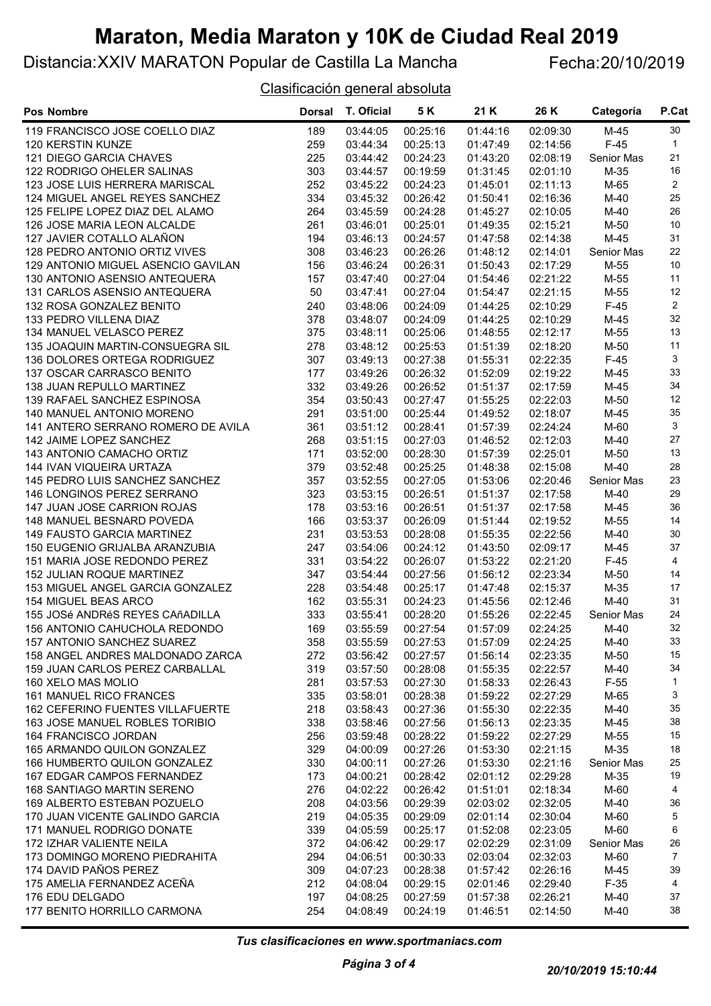Distancia:XXIV MARATON Popular de Castilla La Mancha Fecha:20/10/2019

#### Clasificación general absoluta

| Pos Nombre                         | <b>Dorsal</b> | <b>T. Oficial</b> | 5 K      | 21 K     | 26 K     | Categoría  | P.Cat          |
|------------------------------------|---------------|-------------------|----------|----------|----------|------------|----------------|
| 119 FRANCISCO JOSE COELLO DIAZ     | 189           | 03:44:05          | 00:25:16 | 01:44:16 | 02:09:30 | $M-45$     | 30             |
| 120 KERSTIN KUNZE                  | 259           | 03:44:34          | 00:25:13 | 01:47:49 | 02:14:56 | $F-45$     | $\mathbf{1}$   |
| 121 DIEGO GARCIA CHAVES            | 225           | 03:44:42          | 00:24:23 | 01:43:20 | 02:08:19 | Senior Mas | 21             |
| 122 RODRIGO OHELER SALINAS         | 303           | 03:44:57          | 00:19:59 | 01:31:45 | 02:01:10 | $M-35$     | $16\,$         |
| 123 JOSE LUIS HERRERA MARISCAL     | 252           | 03:45:22          | 00:24:23 | 01:45:01 | 02:11:13 | M-65       | $\overline{2}$ |
| 124 MIGUEL ANGEL REYES SANCHEZ     | 334           | 03:45:32          | 00:26:42 | 01:50:41 | 02:16:36 | M-40       | 25             |
| 125 FELIPE LOPEZ DIAZ DEL ALAMO    | 264           | 03:45:59          | 00:24:28 | 01:45:27 | 02:10:05 | M-40       | 26             |
| 126 JOSE MARIA LEON ALCALDE        | 261           | 03:46:01          | 00:25:01 | 01:49:35 | 02:15:21 | M-50       | 10             |
| 127 JAVIER COTALLO ALAÑON          | 194           | 03:46:13          | 00:24:57 | 01:47:58 | 02:14:38 | $M-45$     | 31             |
| 128 PEDRO ANTONIO ORTIZ VIVES      | 308           | 03:46:23          | 00:26:26 | 01:48:12 | 02:14:01 | Senior Mas | 22             |
| 129 ANTONIO MIGUEL ASENCIO GAVILAN | 156           | 03:46:24          | 00:26:31 | 01:50:43 | 02:17:29 | M-55       | 10             |
| 130 ANTONIO ASENSIO ANTEQUERA      | 157           | 03:47:40          | 00:27:04 | 01:54:46 | 02:21:22 | $M-55$     | 11             |
| 131 CARLOS ASENSIO ANTEQUERA       | 50            | 03:47:41          | 00:27:04 | 01:54:47 | 02:21:15 | M-55       | 12             |
| 132 ROSA GONZALEZ BENITO           | 240           | 03:48:06          | 00:24:09 | 01:44:25 | 02:10:29 | $F-45$     | $\overline{2}$ |
| 133 PEDRO VILLENA DIAZ             | 378           | 03:48:07          | 00:24:09 | 01:44:25 | 02:10:29 | $M-45$     | 32             |
| 134 MANUEL VELASCO PEREZ           | 375           | 03:48:11          | 00:25:06 | 01:48:55 | 02:12:17 | $M-55$     | 13             |
| 135 JOAQUIN MARTIN-CONSUEGRA SIL   | 278           | 03:48:12          | 00:25:53 | 01:51:39 | 02:18:20 | M-50       | 11             |
| 136 DOLORES ORTEGA RODRIGUEZ       | 307           | 03:49:13          | 00:27:38 | 01:55:31 | 02:22:35 | $F-45$     | 3              |
| 137 OSCAR CARRASCO BENITO          | 177           | 03:49:26          | 00:26:32 | 01:52:09 | 02:19:22 | $M-45$     | 33             |
| 138 JUAN REPULLO MARTINEZ          | 332           | 03:49:26          | 00:26:52 | 01:51:37 | 02:17:59 | $M-45$     | $34\,$         |
| 139 RAFAEL SANCHEZ ESPINOSA        | 354           | 03:50:43          | 00:27:47 | 01:55:25 | 02:22:03 | M-50       | $12$           |
| 140 MANUEL ANTONIO MORENO          | 291           | 03:51:00          | 00:25:44 | 01:49:52 | 02:18:07 | $M-45$     | 35             |
| 141 ANTERO SERRANO ROMERO DE AVILA | 361           | 03:51:12          | 00:28:41 | 01:57:39 | 02:24:24 | M-60       | $\mathbf{3}$   |
| 142 JAIME LOPEZ SANCHEZ            | 268           | 03:51:15          | 00:27:03 | 01:46:52 | 02:12:03 | M-40       | 27             |
| 143 ANTONIO CAMACHO ORTIZ          | 171           | 03:52:00          | 00:28:30 | 01:57:39 | 02:25:01 | M-50       | 13             |
| 144 IVAN VIQUEIRA URTAZA           | 379           | 03:52:48          | 00:25:25 | 01:48:38 | 02:15:08 | M-40       | 28             |
| 145 PEDRO LUIS SANCHEZ SANCHEZ     | 357           | 03:52:55          | 00:27:05 | 01:53:06 | 02:20:46 | Senior Mas | 23             |
| 146 LONGINOS PEREZ SERRANO         | 323           | 03:53:15          | 00:26:51 | 01:51:37 | 02:17:58 | $M-40$     | 29             |
| 147 JUAN JOSE CARRION ROJAS        | 178           | 03:53:16          | 00:26:51 | 01:51:37 | 02:17:58 | $M-45$     | 36             |
| 148 MANUEL BESNARD POVEDA          | 166           | 03:53:37          | 00:26:09 | 01:51:44 | 02:19:52 | M-55       | 14             |
| 149 FAUSTO GARCIA MARTINEZ         | 231           | 03:53:53          | 00:28:08 | 01:55:35 | 02:22:56 | $M-40$     | 30             |
| 150 EUGENIO GRIJALBA ARANZUBIA     | 247           | 03:54:06          | 00:24:12 | 01:43:50 | 02:09:17 | $M-45$     | 37             |
| 151 MARIA JOSE REDONDO PEREZ       | 331           | 03:54:22          | 00:26:07 | 01:53:22 | 02:21:20 | $F-45$     | 4              |
| 152 JULIAN ROQUE MARTINEZ          | 347           | 03:54:44          | 00:27:56 | 01:56:12 | 02:23:34 | M-50       | 14             |
| 153 MIGUEL ANGEL GARCIA GONZALEZ   | 228           | 03:54:48          | 00:25:17 | 01:47:48 | 02:15:37 | $M-35$     | 17             |
| 154 MIGUEL BEAS ARCO               | 162           | 03:55:31          | 00:24:23 | 01:45:56 | 02:12:46 | $M-40$     | 31             |
| 155 JOSé ANDRéS REYES CAñADILLA    | 333           | 03:55:41          | 00:28:20 | 01:55:26 | 02:22:45 | Senior Mas | 24             |
| 156 ANTONIO CAHUCHOLA REDONDO      | 169           | 03:55:59          | 00:27:54 | 01:57:09 | 02:24:25 | $M-40$     | 32             |
| 157 ANTONIO SANCHEZ SUAREZ         | 358           | 03:55:59          | 00:27:53 | 01:57:09 | 02:24:25 | $M-40$     | 33             |
| 158 ANGEL ANDRES MALDONADO ZARCA   | 272           | 03:56:42          | 00:27:57 | 01:56:14 | 02:23:35 | M-50       | 15             |
| 159 JUAN CARLOS PEREZ CARBALLAL    | 319           | 03:57:50          | 00:28:08 | 01:55:35 | 02:22:57 | M-40       | 34             |
| 160 XELO MAS MOLIO                 | 281           | 03:57:53          | 00:27:30 | 01:58:33 | 02:26:43 | $F-55$     | $\mathbf{1}$   |
| <b>161 MANUEL RICO FRANCES</b>     | 335           | 03:58:01          | 00:28:38 | 01:59:22 | 02:27:29 | M-65       | 3              |
| 162 CEFERINO FUENTES VILLAFUERTE   | 218           | 03:58:43          | 00:27:36 | 01:55:30 | 02:22:35 | M-40       | 35             |
| 163 JOSE MANUEL ROBLES TORIBIO     | 338           | 03:58:46          | 00:27:56 | 01:56:13 | 02:23:35 | $M-45$     | $38\,$         |
| 164 FRANCISCO JORDAN               | 256           | 03:59:48          | 00:28:22 | 01:59:22 | 02:27:29 | M-55       | 15             |
| 165 ARMANDO QUILON GONZALEZ        | 329           | 04:00:09          | 00:27:26 | 01:53:30 | 02:21:15 | M-35       | 18             |
| 166 HUMBERTO QUILON GONZALEZ       | 330           | 04:00:11          | 00:27:26 | 01:53:30 | 02:21:16 | Senior Mas | 25             |
| 167 EDGAR CAMPOS FERNANDEZ         | 173           | 04:00:21          | 00:28:42 | 02:01:12 | 02:29:28 | M-35       | 19             |
| 168 SANTIAGO MARTIN SERENO         | 276           | 04:02:22          | 00:26:42 | 01:51:01 | 02:18:34 | M-60       | 4              |
| 169 ALBERTO ESTEBAN POZUELO        | 208           | 04:03:56          | 00:29:39 | 02:03:02 | 02:32:05 | M-40       | 36             |
| 170 JUAN VICENTE GALINDO GARCIA    | 219           | 04:05:35          | 00:29:09 | 02:01:14 | 02:30:04 | M-60       | $\sqrt{5}$     |
| 171 MANUEL RODRIGO DONATE          | 339           | 04:05:59          | 00:25:17 | 01:52:08 | 02:23:05 | M-60       | 6              |
| 172 IZHAR VALIENTE NEILA           | 372           | 04:06:42          | 00:29:17 | 02:02:29 | 02:31:09 | Senior Mas | 26             |
| 173 DOMINGO MORENO PIEDRAHITA      | 294           | 04:06:51          | 00:30:33 | 02:03:04 | 02:32:03 | M-60       | $\overline{7}$ |
| 174 DAVID PAÑOS PEREZ              | 309           | 04:07:23          | 00:28:38 | 01:57:42 | 02:26:16 | M-45       | 39             |
| 175 AMELIA FERNANDEZ ACEÑA         | 212           | 04:08:04          | 00:29:15 | 02:01:46 | 02:29:40 | $F-35$     | 4              |
| 176 EDU DELGADO                    | 197           | 04:08:25          | 00:27:59 | 01:57:38 | 02:26:21 | M-40       | 37             |
| 177 BENITO HORRILLO CARMONA        | 254           | 04:08:49          | 00:24:19 | 01:46:51 | 02:14:50 | M-40       | 38             |

Tus clasificaciones en www.sportmaniacs.com